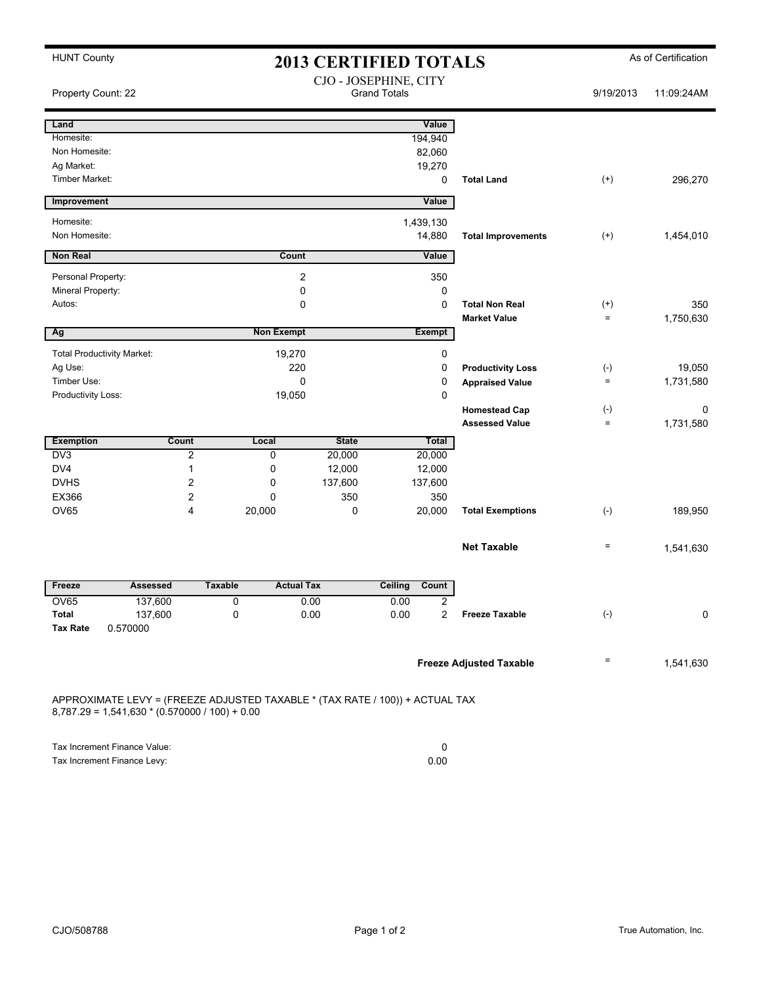| <b>HUNT County</b>                |                                                                                                                                  |                                              | <b>2013 CERTIFIED TOTALS</b> | As of Certification           |             |                                |                   |            |
|-----------------------------------|----------------------------------------------------------------------------------------------------------------------------------|----------------------------------------------|------------------------------|-------------------------------|-------------|--------------------------------|-------------------|------------|
| Property Count: 22                |                                                                                                                                  | CJO - JOSEPHINE, CITY<br><b>Grand Totals</b> |                              |                               |             |                                | 9/19/2013         | 11:09:24AM |
| Land                              |                                                                                                                                  |                                              |                              | Value                         |             |                                |                   |            |
| Homesite:                         |                                                                                                                                  |                                              |                              | 194,940                       |             |                                |                   |            |
| Non Homesite:                     |                                                                                                                                  |                                              |                              | 82,060                        |             |                                |                   |            |
| Ag Market:                        |                                                                                                                                  |                                              |                              | 19,270                        |             |                                |                   |            |
| Timber Market:                    |                                                                                                                                  |                                              |                              |                               | 0           | <b>Total Land</b>              | $^{(+)}$          | 296,270    |
| Improvement                       |                                                                                                                                  |                                              |                              | Value                         |             |                                |                   |            |
| Homesite:                         |                                                                                                                                  |                                              |                              | 1,439,130                     |             |                                |                   |            |
| Non Homesite:                     |                                                                                                                                  |                                              |                              | 14,880                        |             | <b>Total Improvements</b>      | $^{(+)}$          | 1,454,010  |
| <b>Non Real</b>                   |                                                                                                                                  |                                              | Count                        | Value                         |             |                                |                   |            |
| Personal Property:                |                                                                                                                                  |                                              | 2                            |                               | 350         |                                |                   |            |
| Mineral Property:                 |                                                                                                                                  |                                              | 0                            |                               | 0           |                                |                   |            |
| Autos:                            |                                                                                                                                  |                                              | 0                            |                               | $\mathbf 0$ | <b>Total Non Real</b>          | $^{(+)}$          | 350        |
|                                   |                                                                                                                                  |                                              |                              |                               |             | <b>Market Value</b>            | $=$               | 1,750,630  |
| Ag                                |                                                                                                                                  |                                              | <b>Non Exempt</b>            | Exempt                        |             |                                |                   |            |
| <b>Total Productivity Market:</b> |                                                                                                                                  | 19,270                                       |                              | 0                             |             |                                |                   |            |
| Ag Use:                           |                                                                                                                                  | 220                                          |                              | 0<br><b>Productivity Loss</b> |             |                                | $(\text{-})$      | 19.050     |
| Timber Use:                       |                                                                                                                                  | 0                                            |                              | 0<br><b>Appraised Value</b>   |             | $\qquad \qquad =$              | 1,731,580         |            |
| Productivity Loss:                |                                                                                                                                  | 19,050                                       |                              | 0                             |             |                                |                   |            |
|                                   |                                                                                                                                  |                                              |                              |                               |             | <b>Homestead Cap</b>           | $(\cdot)$         | 0          |
|                                   |                                                                                                                                  |                                              |                              |                               |             | <b>Assessed Value</b>          | $\qquad \qquad =$ | 1,731,580  |
| <b>Exemption</b>                  | <b>Count</b>                                                                                                                     | Local                                        | <b>State</b>                 |                               | Total       |                                |                   |            |
| D <sub>V</sub> 3                  | $\overline{2}$                                                                                                                   | 0                                            | 20,000                       | 20,000                        |             |                                |                   |            |
| DV4                               | 1                                                                                                                                | 0                                            | 12,000                       | 12,000                        |             |                                |                   |            |
| <b>DVHS</b>                       | 2                                                                                                                                | 0                                            | 137,600                      | 137,600                       |             |                                |                   |            |
| EX366<br><b>OV65</b>              | 2<br>4                                                                                                                           | 0<br>20,000                                  | 350<br>0                     | 20,000                        | 350         | <b>Total Exemptions</b>        | $(-)$             | 189,950    |
|                                   |                                                                                                                                  |                                              |                              |                               |             |                                |                   |            |
|                                   |                                                                                                                                  |                                              |                              |                               |             | <b>Net Taxable</b>             | $\quad \  \  =$   | 1,541,630  |
| Freeze                            | Assessed                                                                                                                         | <b>Taxable</b>                               | <b>Actual Tax</b>            | <b>Ceiling</b><br>Count       |             |                                |                   |            |
| OV65                              | 137,600                                                                                                                          | O                                            | 0.00                         | 0.00                          | 2           |                                |                   |            |
| Total                             | 137,600                                                                                                                          | 0                                            | 0.00                         | 0.00                          | 2           | <b>Freeze Taxable</b>          | $(-)$             | 0          |
| <b>Tax Rate</b>                   | 0.570000                                                                                                                         |                                              |                              |                               |             |                                |                   |            |
|                                   |                                                                                                                                  |                                              |                              |                               |             | <b>Freeze Adjusted Taxable</b> | Ξ                 | 1,541,630  |
|                                   | APPROXIMATE LEVY = (FREEZE ADJUSTED TAXABLE * (TAX RATE / 100)) + ACTUAL TAX<br>$8,787.29 = 1,541,630 * (0.570000 / 100) + 0.00$ |                                              |                              |                               |             |                                |                   |            |

| Tax Increment Finance Value: |      |
|------------------------------|------|
| Tax Increment Finance Levy:  | 0.00 |